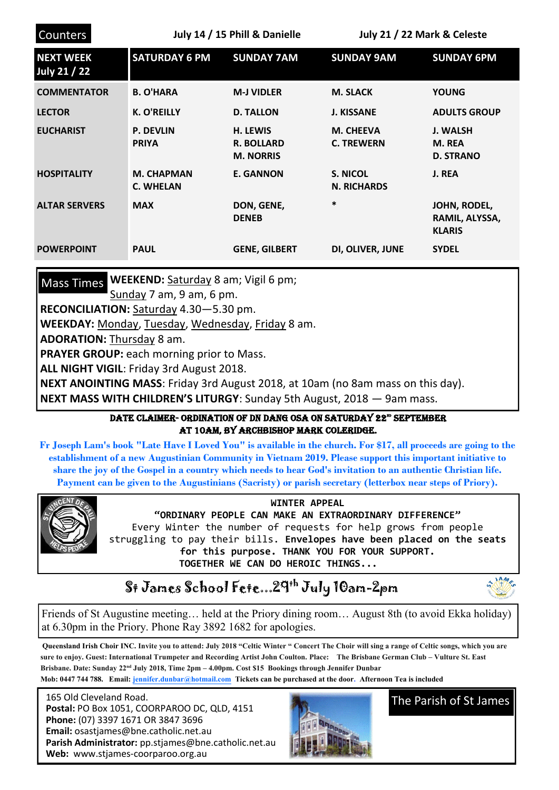| Counters                         | July 14 / 15 Phill & Danielle         |                                                          | July 21 / 22 Mark & Celeste           |                                                 |
|----------------------------------|---------------------------------------|----------------------------------------------------------|---------------------------------------|-------------------------------------------------|
| <b>NEXT WEEK</b><br>July 21 / 22 | <b>SATURDAY 6 PM</b>                  | <b>SUNDAY 7AM</b>                                        | <b>SUNDAY 9AM</b>                     | <b>SUNDAY 6PM</b>                               |
| <b>COMMENTATOR</b>               | <b>B. O'HARA</b>                      | <b>M-J VIDLER</b>                                        | <b>M. SLACK</b>                       | <b>YOUNG</b>                                    |
| <b>LECTOR</b>                    | <b>K. O'REILLY</b>                    | <b>D. TALLON</b>                                         | <b>J. KISSANE</b>                     | <b>ADULTS GROUP</b>                             |
| <b>EUCHARIST</b>                 | <b>P. DEVLIN</b><br><b>PRIYA</b>      | <b>H. LEWIS</b><br><b>R. BOLLARD</b><br><b>M. NORRIS</b> | <b>M. CHEEVA</b><br><b>C. TREWERN</b> | J. WALSH<br>M. REA<br><b>D. STRANO</b>          |
| <b>HOSPITALITY</b>               | <b>M. CHAPMAN</b><br><b>C. WHELAN</b> | <b>E. GANNON</b>                                         | S. NICOL<br><b>N. RICHARDS</b>        | J. REA                                          |
| <b>ALTAR SERVERS</b>             | <b>MAX</b>                            | DON, GENE,<br><b>DENEB</b>                               | $\ast$                                | JOHN, RODEL,<br>RAMIL, ALYSSA,<br><b>KLARIS</b> |
| <b>POWERPOINT</b>                | <b>PAUL</b>                           | <b>GENE, GILBERT</b>                                     | DI, OLIVER, JUNE                      | <b>SYDEL</b>                                    |

Mass Times WEEKEND: Saturday 8 am; Vigil 6 pm;

Sunday 7 am, 9 am, 6 pm.

**RECONCILIATION:** Saturday 4.30—5.30 pm.

**WEEKDAY:** Monday, Tuesday, Wednesday, Friday 8 am.

**ADORATION:** Thursday 8 am.

**PRAYER GROUP:** each morning prior to Mass.

**ALL NIGHT VIGIL**: Friday 3rd August 2018.

**NEXT ANOINTING MASS**: Friday 3rd August 2018, at 10am (no 8am mass on this day). **NEXT MASS WITH CHILDREN'S LITURGY**: Sunday 5th August, 2018 — 9am mass.

## DATE CLAIMER- ORDINATION OF DN DANG OSA ON SATURDAY 22ª SEPTEMBER at 10am, by Archbishop Mark Coleridge.

**Fr Joseph Lam's book "Late Have I Loved You" is available in the church. For \$17, all proceeds are going to the establishment of a new Augustinian Community in Vietnam 2019. Please support this important initiative to share the joy of the Gospel in a country which needs to hear God's invitation to an authentic Christian life. Payment can be given to the Augustinians (Sacristy) or parish secretary (letterbox near steps of Priory).**



**WINTER APPEAL** 

**"ORDINARY PEOPLE CAN MAKE AN EXTRAORDINARY DIFFERENCE"** Every Winter the number of requests for help grows from people struggling to pay their bills. **Envelopes have been placed on the seats for this purpose. THANK YOU FOR YOUR SUPPORT. TOGETHER WE CAN DO HEROIC THINGS...**

## St James School Fete...29th July 10am-2pm



Friends of St Augustine meeting… held at the Priory dining room… August 8th (to avoid Ekka holiday) at 6.30pm in the Priory. Phone Ray 3892 1682 for apologies.

**Queensland Irish Choir INC. Invite you to attend: July 2018 "Celtic Winter " Concert The Choir will sing a range of Celtic songs, which you are sure to enjoy. Guest: International Trumpeter and Recording Artist John Coulton. Place: The Brisbane German Club – Vulture St. East Brisbane. Date: Sunday 22nd July 2018, Time 2pm – 4.00pm. Cost \$15 Bookings through Jennifer Dunbar Mob: 0447 744 788. Email: [jennifer.dunbar@hotmail.com](mailto:jennifer.dunbar@hotmail.com) Tickets can be purchased at the door. Afternoon Tea is included** 

 165 Old Cleveland Road.  **Postal:** PO Box 1051, COORPAROO DC, QLD, 4151  **Phone:** (07) 3397 1671 OR 3847 3696 **Email:** osastjames@bne.catholic.net.au **Parish Administrator:** pp.stjames@bne.catholic.net.au **Web:** www.stjames-coorparoo.org.au



The Parish of St James